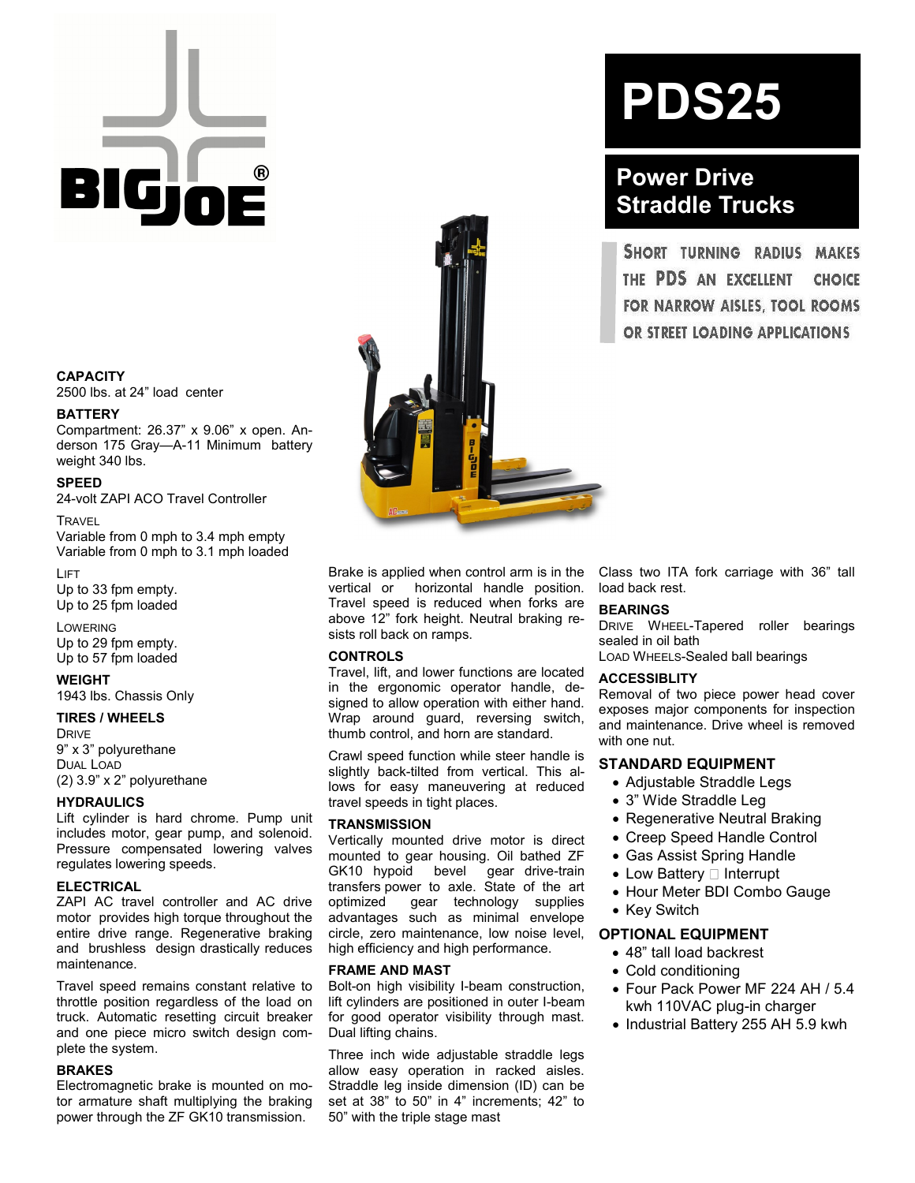# GW

#### **CAPACITY**

2500 lbs. at 24" load center

#### **BATTERY**

Compartment: 26.37" x 9.06" x open. Anderson 175 Gray—A-11 Minimum battery weight 340 lbs.

#### **SPEED**

24-volt ZAPI ACO Travel Controller

**TRAVEL** 

Variable from 0 mph to 3.4 mph empty Variable from 0 mph to 3.1 mph loaded

LIFT Up to 33 fpm empty. Up to 25 fpm loaded

LOWERING Up to 29 fpm empty. Up to 57 fpm loaded

#### **WEIGHT**

1943 lbs. Chassis Only

#### **TIRES / WHEELS**

**DRIVE** 9" x 3" polyurethane DUAL LOAD (2) 3.9" x 2" polyurethane

#### **HYDRAULICS**

Lift cylinder is hard chrome. Pump unit includes motor, gear pump, and solenoid. Pressure compensated lowering valves regulates lowering speeds.

#### **ELECTRICAL**

ZAPI AC travel controller and AC drive motor provides high torque throughout the entire drive range. Regenerative braking and brushless design drastically reduces maintenance.

Travel speed remains constant relative to throttle position regardless of the load on truck. Automatic resetting circuit breaker and one piece micro switch design complete the system.

#### **BRAKES**

Electromagnetic brake is mounted on motor armature shaft multiplying the braking power through the ZF GK10 transmission.

Brake is applied when control arm is in the vertical or horizontal handle position. Travel speed is reduced when forks are above 12" fork height. Neutral braking resists roll back on ramps.

#### **CONTROLS**

Travel, lift, and lower functions are located in the ergonomic operator handle, designed to allow operation with either hand. Wrap around guard, reversing switch, thumb control, and horn are standard.

Crawl speed function while steer handle is slightly back-tilted from vertical. This allows for easy maneuvering at reduced travel speeds in tight places.

#### **TRANSMISSION**

Vertically mounted drive motor is direct mounted to gear housing. Oil bathed ZF GK10 hypoid bevel gear drive-train transfers power to axle. State of the art optimized gear technology supplies advantages such as minimal envelope circle, zero maintenance, low noise level, high efficiency and high performance.

#### **FRAME AND MAST**

Bolt-on high visibility I-beam construction, lift cylinders are positioned in outer I-beam for good operator visibility through mast. Dual lifting chains.

Three inch wide adjustable straddle legs allow easy operation in racked aisles. Straddle leg inside dimension (ID) can be set at 38" to 50" in 4" increments; 42" to 50" with the triple stage mast

## **PDS25**

### **Power Drive Straddle Trucks**

SHORT TURNING RADIUS **MAKES** THE PDS AN EXCELLENT **CHOICE** FOR NARROW AISLES, TOOL ROOMS OR STREET LOADING APPLICATIONS

Class two ITA fork carriage with 36" tall load back rest.

#### **BEARINGS**

DRIVE WHEEL-Tapered roller bearings sealed in oil bath

LOAD WHEELS-Sealed ball bearings

#### **ACCESSIBLITY**

Removal of two piece power head cover exposes major components for inspection and maintenance. Drive wheel is removed with one nut.

#### **STANDARD EQUIPMENT**

- Adjustable Straddle Legs
- 3" Wide Straddle Leg
- Regenerative Neutral Braking
- Creep Speed Handle Control
- Gas Assist Spring Handle
- $\bullet$  Low Battery  $\Box$  Interrupt
- Hour Meter BDI Combo Gauge
- Key Switch

#### **OPTIONAL EQUIPMENT**

- 48" tall load backrest
- Cold conditioning
- Four Pack Power MF 224 AH / 5.4 kwh 110VAC plug-in charger
- Industrial Battery 255 AH 5.9 kwh